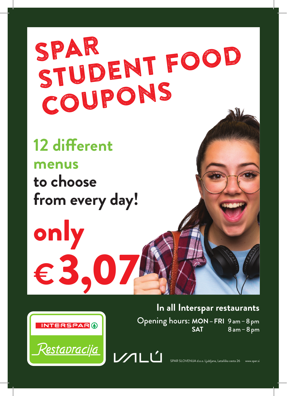

**12 different menus to choose from every day!**

**€**3,07

**In all Interspar restaurants**

Opening hours: **MON–FRI** 9am–8pm **SAT** 8am–8pm



only